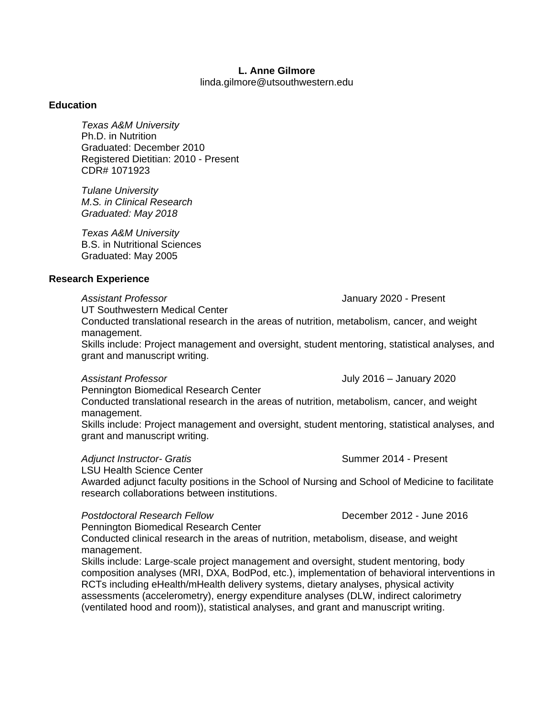# **L. Anne Gilmore**

linda.gilmore@utsouthwestern.edu

### **Education**

*Texas A&M University* Ph.D. in Nutrition Graduated: December 2010 Registered Dietitian: 2010 - Present CDR# 1071923

*Tulane University M.S. in Clinical Research Graduated: May 2018*

*Texas A&M University* B.S. in Nutritional Sciences Graduated: May 2005

# **Research Experience**

*Assistant Professor* January 2020 - Present

UT Southwestern Medical Center

Conducted translational research in the areas of nutrition, metabolism, cancer, and weight management.

Skills include: Project management and oversight, student mentoring, statistical analyses, and grant and manuscript writing.

*Assistant Professor* July 2016 – January 2020

Pennington Biomedical Research Center

Conducted translational research in the areas of nutrition, metabolism, cancer, and weight management.

Skills include: Project management and oversight, student mentoring, statistical analyses, and grant and manuscript writing.

## Adjunct Instructor- Gratis **Summer 2014** - Present

LSU Health Science Center

Awarded adjunct faculty positions in the School of Nursing and School of Medicine to facilitate research collaborations between institutions.

### *Postdoctoral Research Fellow* December 2012 - June 2016

Pennington Biomedical Research Center

Conducted clinical research in the areas of nutrition, metabolism, disease, and weight management.

Skills include: Large-scale project management and oversight, student mentoring, body composition analyses (MRI, DXA, BodPod, etc.), implementation of behavioral interventions in RCTs including eHealth/mHealth delivery systems, dietary analyses, physical activity assessments (accelerometry), energy expenditure analyses (DLW, indirect calorimetry (ventilated hood and room)), statistical analyses, and grant and manuscript writing.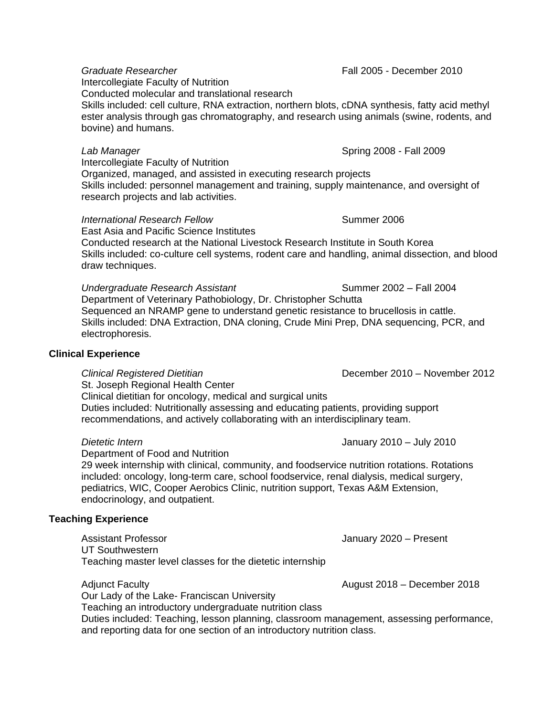Intercollegiate Faculty of Nutrition Conducted molecular and translational research Skills included: cell culture, RNA extraction, northern blots, cDNA synthesis, fatty acid methyl ester analysis through gas chromatography, and research using animals (swine, rodents, and bovine) and humans.

# *Lab Manager* Spring 2008 - Fall 2009

Intercollegiate Faculty of Nutrition

Organized, managed, and assisted in executing research projects Skills included: personnel management and training, supply maintenance, and oversight of research projects and lab activities.

# *International Research Fellow* Summer 2006

East Asia and Pacific Science Institutes Conducted research at the National Livestock Research Institute in South Korea Skills included: co-culture cell systems, rodent care and handling, animal dissection, and blood draw techniques.

*Undergraduate Research Assistant* Summer 2002 – Fall 2004 Department of Veterinary Pathobiology, Dr. Christopher Schutta Sequenced an NRAMP gene to understand genetic resistance to brucellosis in cattle. Skills included: DNA Extraction, DNA cloning, Crude Mini Prep, DNA sequencing, PCR, and electrophoresis.

### **Clinical Experience**

*Clinical Registered Dietitian* December 2010 – November 2012 St. Joseph Regional Health Center Clinical dietitian for oncology, medical and surgical units Duties included: Nutritionally assessing and educating patients, providing support recommendations, and actively collaborating with an interdisciplinary team.

*Dietetic Intern* January 2010 – July 2010

Department of Food and Nutrition

29 week internship with clinical, community, and foodservice nutrition rotations. Rotations included: oncology, long-term care, school foodservice, renal dialysis, medical surgery, pediatrics, WIC, Cooper Aerobics Clinic, nutrition support, Texas A&M Extension, endocrinology, and outpatient.

# **Teaching Experience**

Assistant Professor January 2020 – Present UT Southwestern Teaching master level classes for the dietetic internship

Adjunct Faculty August 2018 – December 2018

Our Lady of the Lake- Franciscan University Teaching an introductory undergraduate nutrition class Duties included: Teaching, lesson planning, classroom management, assessing performance, and reporting data for one section of an introductory nutrition class.

*Graduate Researcher* Fall 2005 - December 2010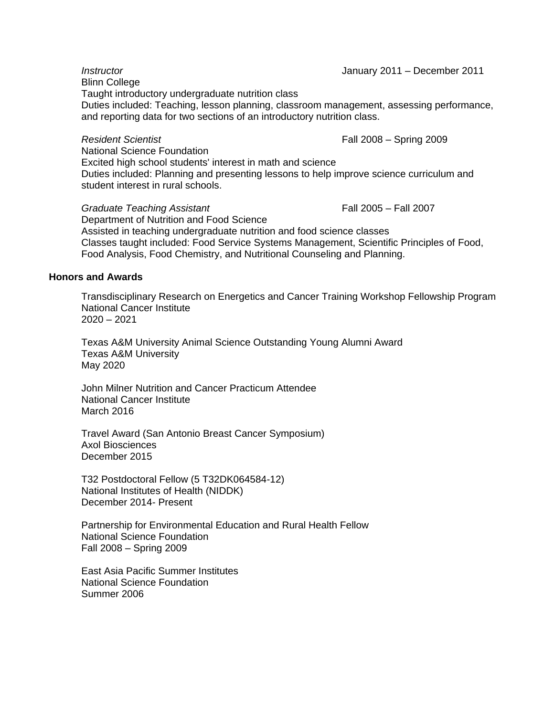*Instructor* January 2011 – December 2011 Blinn College Taught introductory undergraduate nutrition class Duties included: Teaching, lesson planning, classroom management, assessing performance, and reporting data for two sections of an introductory nutrition class.

*Resident Scientist* Fall 2008 – Spring 2009

National Science Foundation Excited high school students' interest in math and science Duties included: Planning and presenting lessons to help improve science curriculum and student interest in rural schools.

*Graduate Teaching Assistant* Fall 2005 – Fall 2007 Department of Nutrition and Food Science Assisted in teaching undergraduate nutrition and food science classes Classes taught included: Food Service Systems Management, Scientific Principles of Food, Food Analysis, Food Chemistry, and Nutritional Counseling and Planning.

# **Honors and Awards**

Transdisciplinary Research on Energetics and Cancer Training Workshop Fellowship Program National Cancer Institute 2020 – 2021

Texas A&M University Animal Science Outstanding Young Alumni Award Texas A&M University May 2020

John Milner Nutrition and Cancer Practicum Attendee National Cancer Institute March 2016

Travel Award (San Antonio Breast Cancer Symposium) Axol Biosciences December 2015

T32 Postdoctoral Fellow (5 T32DK064584-12) National Institutes of Health (NIDDK) December 2014- Present

Partnership for Environmental Education and Rural Health Fellow National Science Foundation Fall 2008 – Spring 2009

East Asia Pacific Summer Institutes National Science Foundation Summer 2006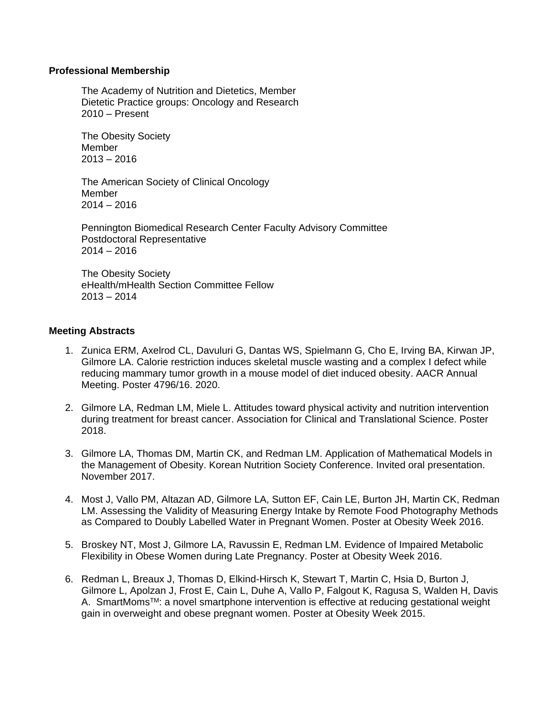# **Professional Membership**

The Academy of Nutrition and Dietetics, Member Dietetic Practice groups: Oncology and Research 2010 – Present

The Obesity Society Member 2013 – 2016

The American Society of Clinical Oncology Member  $2014 - 2016$ 

Pennington Biomedical Research Center Faculty Advisory Committee Postdoctoral Representative  $2014 - 2016$ 

The Obesity Society eHealth/mHealth Section Committee Fellow 2013 – 2014

# **Meeting Abstracts**

- 1. Zunica ERM, Axelrod CL, Davuluri G, Dantas WS, Spielmann G, Cho E, Irving BA, Kirwan JP, Gilmore LA. Calorie restriction induces skeletal muscle wasting and a complex I defect while reducing mammary tumor growth in a mouse model of diet induced obesity. AACR Annual Meeting. Poster 4796/16. 2020.
- 2. Gilmore LA, Redman LM, Miele L. Attitudes toward physical activity and nutrition intervention during treatment for breast cancer. Association for Clinical and Translational Science. Poster 2018.
- 3. Gilmore LA, Thomas DM, Martin CK, and Redman LM. Application of Mathematical Models in the Management of Obesity. Korean Nutrition Society Conference. Invited oral presentation. November 2017.
- 4. Most J, Vallo PM, Altazan AD, Gilmore LA, Sutton EF, Cain LE, Burton JH, Martin CK, Redman LM. Assessing the Validity of Measuring Energy Intake by Remote Food Photography Methods as Compared to Doubly Labelled Water in Pregnant Women. Poster at Obesity Week 2016.
- 5. Broskey NT, Most J, Gilmore LA, Ravussin E, Redman LM. Evidence of Impaired Metabolic Flexibility in Obese Women during Late Pregnancy. Poster at Obesity Week 2016.
- 6. Redman L, Breaux J, Thomas D, Elkind-Hirsch K, Stewart T, Martin C, Hsia D, Burton J, Gilmore L, Apolzan J, Frost E, Cain L, Duhe A, Vallo P, Falgout K, Ragusa S, Walden H, Davis A. SmartMoms<sup>™</sup>: a novel smartphone intervention is effective at reducing gestational weight gain in overweight and obese pregnant women. Poster at Obesity Week 2015.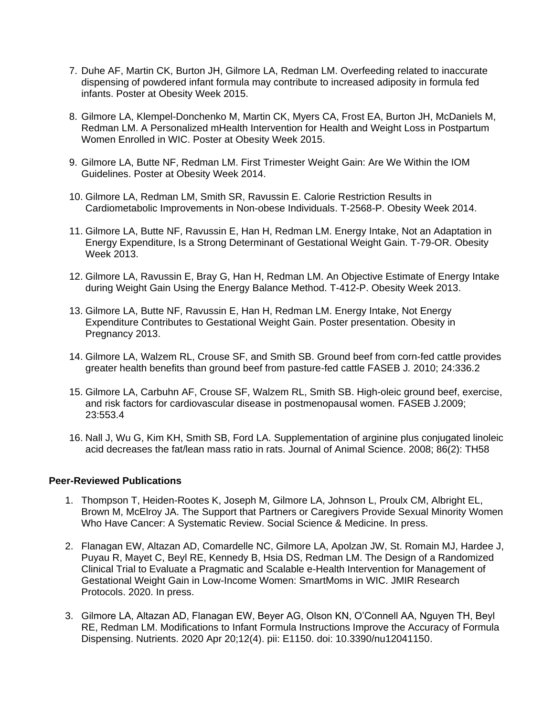- 7. Duhe AF, Martin CK, Burton JH, Gilmore LA, Redman LM. Overfeeding related to inaccurate dispensing of powdered infant formula may contribute to increased adiposity in formula fed infants. Poster at Obesity Week 2015.
- 8. Gilmore LA, Klempel-Donchenko M, Martin CK, Myers CA, Frost EA, Burton JH, McDaniels M, Redman LM. A Personalized mHealth Intervention for Health and Weight Loss in Postpartum Women Enrolled in WIC. Poster at Obesity Week 2015.
- 9. Gilmore LA, Butte NF, Redman LM. First Trimester Weight Gain: Are We Within the IOM Guidelines. Poster at Obesity Week 2014.
- 10. Gilmore LA, Redman LM, Smith SR, Ravussin E. Calorie Restriction Results in Cardiometabolic Improvements in Non-obese Individuals. T-2568-P. Obesity Week 2014.
- 11. Gilmore LA, Butte NF, Ravussin E, Han H, Redman LM. Energy Intake, Not an Adaptation in Energy Expenditure, Is a Strong Determinant of Gestational Weight Gain. T-79-OR. Obesity Week 2013.
- 12. Gilmore LA, Ravussin E, Bray G, Han H, Redman LM. An Objective Estimate of Energy Intake during Weight Gain Using the Energy Balance Method. T-412-P. Obesity Week 2013.
- 13. Gilmore LA, Butte NF, Ravussin E, Han H, Redman LM. Energy Intake, Not Energy Expenditure Contributes to Gestational Weight Gain. Poster presentation. Obesity in Pregnancy 2013.
- 14. Gilmore LA, Walzem RL, Crouse SF, and Smith SB. Ground beef from corn-fed cattle provides greater health benefits than ground beef from pasture-fed cattle FASEB J*.* 2010; 24:336.2
- 15. Gilmore LA, Carbuhn AF, Crouse SF, Walzem RL, Smith SB. High-oleic ground beef, exercise, and risk factors for cardiovascular disease in postmenopausal women. FASEB J*.*2009; 23:553.4
- 16. Nall J, Wu G, Kim KH, Smith SB, Ford LA. Supplementation of arginine plus conjugated linoleic acid decreases the fat/lean mass ratio in rats. Journal of Animal Science. 2008; 86(2): TH58

# **Peer-Reviewed Publications**

- 1. Thompson T, Heiden-Rootes K, Joseph M, Gilmore LA, Johnson L, Proulx CM, Albright EL, Brown M, McElroy JA. The Support that Partners or Caregivers Provide Sexual Minority Women Who Have Cancer: A Systematic Review. Social Science & Medicine. In press.
- 2. Flanagan EW, Altazan AD, Comardelle NC, Gilmore LA, Apolzan JW, St. Romain MJ, Hardee J, Puyau R, Mayet C, Beyl RE, Kennedy B, Hsia DS, Redman LM. The Design of a Randomized Clinical Trial to Evaluate a Pragmatic and Scalable e-Health Intervention for Management of Gestational Weight Gain in Low-Income Women: SmartMoms in WIC. JMIR Research Protocols. 2020. In press.
- 3. Gilmore LA, Altazan AD, Flanagan EW, Beyer AG, Olson KN, O'Connell AA, Nguyen TH, Beyl RE, Redman LM. Modifications to Infant Formula Instructions Improve the Accuracy of Formula Dispensing. Nutrients. 2020 Apr 20;12(4). pii: E1150. doi: 10.3390/nu12041150.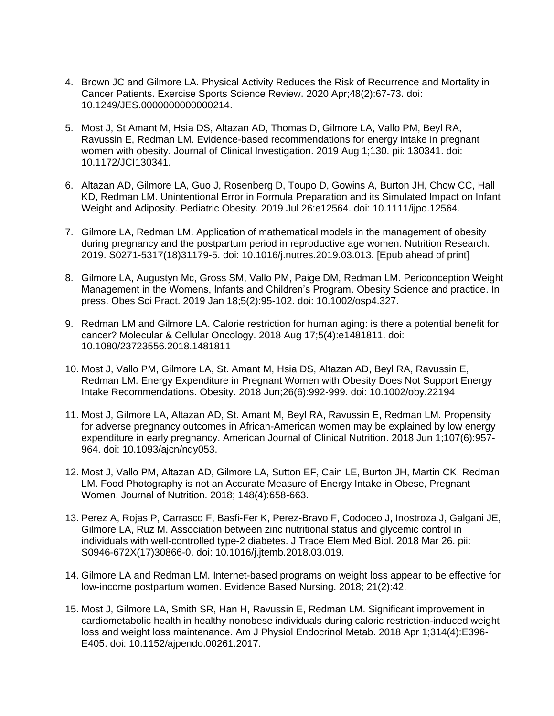- 4. Brown JC and Gilmore LA. Physical Activity Reduces the Risk of Recurrence and Mortality in Cancer Patients. Exercise Sports Science Review. 2020 Apr;48(2):67-73. doi: 10.1249/JES.0000000000000214.
- 5. Most J, St Amant M, Hsia DS, Altazan AD, Thomas D, Gilmore LA, Vallo PM, Beyl RA, Ravussin E, Redman LM. Evidence-based recommendations for energy intake in pregnant women with obesity. Journal of Clinical Investigation. 2019 Aug 1;130. pii: 130341. doi: 10.1172/JCI130341.
- 6. Altazan AD, Gilmore LA, Guo J, Rosenberg D, Toupo D, Gowins A, Burton JH, Chow CC, Hall KD, Redman LM. Unintentional Error in Formula Preparation and its Simulated Impact on Infant Weight and Adiposity. Pediatric Obesity. 2019 Jul 26:e12564. doi: 10.1111/ijpo.12564.
- 7. Gilmore LA, Redman LM. Application of mathematical models in the management of obesity during pregnancy and the postpartum period in reproductive age women. Nutrition Research. 2019. S0271-5317(18)31179-5. doi: 10.1016/j.nutres.2019.03.013. [Epub ahead of print]
- 8. Gilmore LA, Augustyn Mc, Gross SM, Vallo PM, Paige DM, Redman LM. Periconception Weight Management in the Womens, Infants and Children's Program. Obesity Science and practice. In press. Obes Sci Pract. 2019 Jan 18;5(2):95-102. doi: 10.1002/osp4.327.
- 9. Redman LM and Gilmore LA. Calorie restriction for human aging: is there a potential benefit for cancer? Molecular & Cellular Oncology. 2018 Aug 17;5(4):e1481811. doi: 10.1080/23723556.2018.1481811
- 10. Most J, Vallo PM, Gilmore LA, St. Amant M, Hsia DS, Altazan AD, Beyl RA, Ravussin E, Redman LM. Energy Expenditure in Pregnant Women with Obesity Does Not Support Energy Intake Recommendations. Obesity. 2018 Jun;26(6):992-999. doi: 10.1002/oby.22194
- 11. Most J, Gilmore LA, Altazan AD, St. Amant M, Beyl RA, Ravussin E, Redman LM. Propensity for adverse pregnancy outcomes in African-American women may be explained by low energy expenditure in early pregnancy. American Journal of Clinical Nutrition. 2018 Jun 1;107(6):957- 964. doi: 10.1093/ajcn/nqy053.
- 12. Most J, Vallo PM, Altazan AD, Gilmore LA, Sutton EF, Cain LE, Burton JH, Martin CK, Redman LM. Food Photography is not an Accurate Measure of Energy Intake in Obese, Pregnant Women. Journal of Nutrition. 2018; 148(4):658-663.
- 13. Perez A, Rojas P, Carrasco F, Basfi-Fer K, Perez-Bravo F, Codoceo J, Inostroza J, Galgani JE, Gilmore LA, Ruz M. Association between zinc nutritional status and glycemic control in individuals with well-controlled type-2 diabetes. J Trace Elem Med Biol. 2018 Mar 26. pii: S0946-672X(17)30866-0. doi: 10.1016/j.jtemb.2018.03.019.
- 14. Gilmore LA and Redman LM. Internet-based programs on weight loss appear to be effective for low-income postpartum women. Evidence Based Nursing. 2018; 21(2):42.
- 15. Most J, Gilmore LA, Smith SR, Han H, Ravussin E, Redman LM. Significant improvement in cardiometabolic health in healthy nonobese individuals during caloric restriction-induced weight loss and weight loss maintenance. Am J Physiol Endocrinol Metab. 2018 Apr 1;314(4):E396- E405. doi: 10.1152/ajpendo.00261.2017.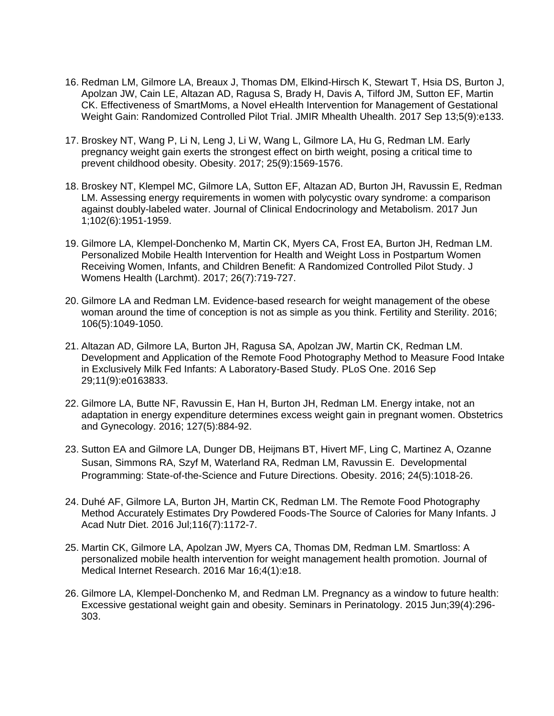- 16. Redman LM, Gilmore LA, Breaux J, Thomas DM, Elkind-Hirsch K, Stewart T, Hsia DS, Burton J, Apolzan JW, Cain LE, Altazan AD, Ragusa S, Brady H, Davis A, Tilford JM, Sutton EF, Martin CK. Effectiveness of SmartMoms, a Novel eHealth Intervention for Management of Gestational Weight Gain: Randomized Controlled Pilot Trial. JMIR Mhealth Uhealth. 2017 Sep 13;5(9):e133.
- 17. Broskey NT, Wang P, Li N, Leng J, Li W, Wang L, Gilmore LA, Hu G, Redman LM. Early pregnancy weight gain exerts the strongest effect on birth weight, posing a critical time to prevent childhood obesity. Obesity. 2017; 25(9):1569-1576.
- 18. Broskey NT, Klempel MC, Gilmore LA, Sutton EF, Altazan AD, Burton JH, Ravussin E, Redman LM. Assessing energy requirements in women with polycystic ovary syndrome: a comparison against doubly-labeled water. Journal of Clinical Endocrinology and Metabolism. 2017 Jun 1;102(6):1951-1959.
- 19. Gilmore LA, Klempel-Donchenko M, Martin CK, Myers CA, Frost EA, Burton JH, Redman LM. Personalized Mobile Health Intervention for Health and Weight Loss in Postpartum Women Receiving Women, Infants, and Children Benefit: A Randomized Controlled Pilot Study. J Womens Health (Larchmt). 2017; 26(7):719-727.
- 20. Gilmore LA and Redman LM. Evidence-based research for weight management of the obese woman around the time of conception is not as simple as you think. Fertility and Sterility. 2016; 106(5):1049-1050.
- 21. Altazan AD, Gilmore LA, Burton JH, Ragusa SA, Apolzan JW, Martin CK, Redman LM. Development and Application of the Remote Food Photography Method to Measure Food Intake in Exclusively Milk Fed Infants: A Laboratory-Based Study. PLoS One. 2016 Sep 29;11(9):e0163833.
- 22. Gilmore LA, Butte NF, Ravussin E, Han H, Burton JH, Redman LM. Energy intake, not an adaptation in energy expenditure determines excess weight gain in pregnant women. Obstetrics and Gynecology. 2016; 127(5):884-92.
- 23. Sutton EA and Gilmore LA, Dunger DB, Heijmans BT, Hivert MF, Ling C, Martinez A, Ozanne Susan, Simmons RA, Szyf M, Waterland RA, Redman LM, Ravussin E. Developmental Programming: State-of-the-Science and Future Directions. Obesity. 2016; 24(5):1018-26.
- 24. Duhé AF, Gilmore LA, Burton JH, Martin CK, Redman LM. The Remote Food Photography Method Accurately Estimates Dry Powdered Foods-The Source of Calories for Many Infants. J Acad Nutr Diet. 2016 Jul;116(7):1172-7.
- 25. Martin CK, Gilmore LA, Apolzan JW, Myers CA, Thomas DM, Redman LM. Smartloss: A personalized mobile health intervention for weight management health promotion. Journal of Medical Internet Research. 2016 Mar 16;4(1):e18.
- 26. Gilmore LA, Klempel-Donchenko M, and Redman LM. Pregnancy as a window to future health: Excessive gestational weight gain and obesity. Seminars in Perinatology. 2015 Jun;39(4):296- 303.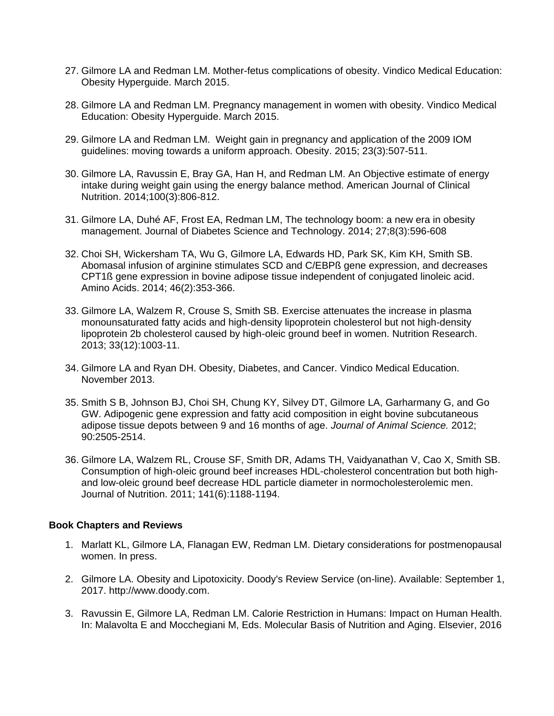- 27. Gilmore LA and Redman LM. Mother-fetus complications of obesity. Vindico Medical Education: Obesity Hyperguide. March 2015.
- 28. Gilmore LA and Redman LM. Pregnancy management in women with obesity. Vindico Medical Education: Obesity Hyperguide. March 2015.
- 29. Gilmore LA and Redman LM. Weight gain in pregnancy and application of the 2009 IOM guidelines: moving towards a uniform approach. Obesity. 2015; 23(3):507-511.
- 30. Gilmore LA, Ravussin E, Bray GA, Han H, and Redman LM. An Objective estimate of energy intake during weight gain using the energy balance method. American Journal of Clinical Nutrition. 2014;100(3):806-812.
- 31. Gilmore LA, Duhé AF, Frost EA, Redman LM, The technology boom: a new era in obesity management. Journal of Diabetes Science and Technology. 2014; 27;8(3):596-608
- 32. Choi SH, Wickersham TA, Wu G, Gilmore LA, Edwards HD, Park SK, Kim KH, Smith SB. Abomasal infusion of arginine stimulates SCD and C/EBPß gene expression, and decreases CPT1ß gene expression in bovine adipose tissue independent of conjugated linoleic acid. Amino Acids. 2014; 46(2):353-366.
- 33. Gilmore LA, Walzem R, Crouse S, Smith SB. Exercise attenuates the increase in plasma monounsaturated fatty acids and high-density lipoprotein cholesterol but not high-density lipoprotein 2b cholesterol caused by high-oleic ground beef in women. Nutrition Research. 2013; 33(12):1003-11.
- 34. Gilmore LA and Ryan DH. Obesity, Diabetes, and Cancer. Vindico Medical Education. November 2013.
- 35. Smith S B, Johnson BJ, Choi SH, Chung KY, Silvey DT, Gilmore LA, Garharmany G, and Go GW. Adipogenic gene expression and fatty acid composition in eight bovine subcutaneous adipose tissue depots between 9 and 16 months of age. *Journal of Animal Science.* 2012; 90:2505-2514.
- 36. Gilmore LA, Walzem RL, Crouse SF, Smith DR, Adams TH, Vaidyanathan V, Cao X, Smith SB. Consumption of high-oleic ground beef increases HDL-cholesterol concentration but both highand low-oleic ground beef decrease HDL particle diameter in normocholesterolemic men. Journal of Nutrition. 2011; 141(6):1188-1194.

# **Book Chapters and Reviews**

- 1. Marlatt KL, Gilmore LA, Flanagan EW, Redman LM. Dietary considerations for postmenopausal women. In press.
- 2. Gilmore LA. Obesity and Lipotoxicity. Doody's Review Service (on-line). Available: September 1, 2017. http://www.doody.com.
- 3. Ravussin E, Gilmore LA, Redman LM. Calorie Restriction in Humans: Impact on Human Health. In: Malavolta E and Mocchegiani M, Eds. Molecular Basis of Nutrition and Aging. Elsevier, 2016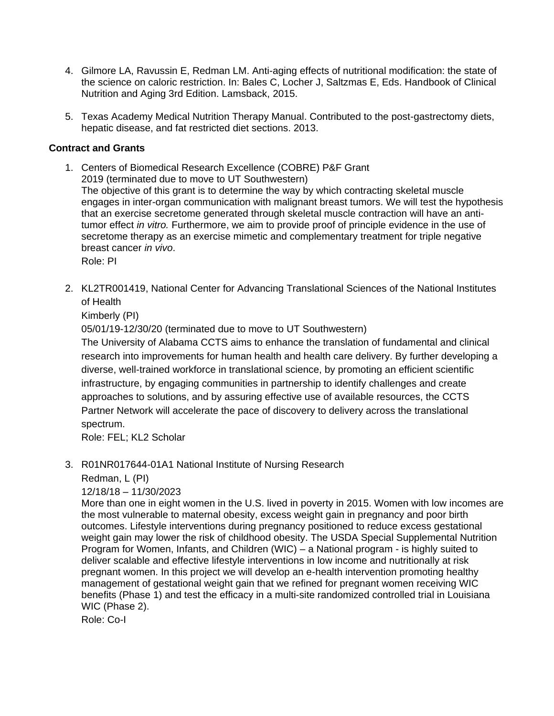- 4. Gilmore LA, Ravussin E, Redman LM. Anti-aging effects of nutritional modification: the state of the science on caloric restriction. In: Bales C, Locher J, Saltzmas E, Eds. Handbook of Clinical Nutrition and Aging 3rd Edition. Lamsback, 2015.
- 5. Texas Academy Medical Nutrition Therapy Manual. Contributed to the post-gastrectomy diets, hepatic disease, and fat restricted diet sections. 2013.

# **Contract and Grants**

1. Centers of Biomedical Research Excellence (COBRE) P&F Grant 2019 (terminated due to move to UT Southwestern) The objective of this grant is to determine the way by which contracting skeletal muscle engages in inter-organ communication with malignant breast tumors. We will test the hypothesis that an exercise secretome generated through skeletal muscle contraction will have an antitumor effect *in vitro.* Furthermore, we aim to provide proof of principle evidence in the use of secretome therapy as an exercise mimetic and complementary treatment for triple negative breast cancer *in vivo*.

Role: PI

2. KL2TR001419, National Center for Advancing Translational Sciences of the National Institutes of Health

Kimberly (PI)

05/01/19-12/30/20 (terminated due to move to UT Southwestern)

The University of Alabama CCTS aims to enhance the translation of fundamental and clinical research into improvements for human health and health care delivery. By further developing a diverse, well-trained workforce in translational science, by promoting an efficient scientific infrastructure, by engaging communities in partnership to identify challenges and create approaches to solutions, and by assuring effective use of available resources, the CCTS Partner Network will accelerate the pace of discovery to delivery across the translational spectrum.

Role: FEL; KL2 Scholar

3. R01NR017644-01A1 National Institute of Nursing Research

Redman, L (PI)

12/18/18 – 11/30/2023

More than one in eight women in the U.S. lived in poverty in 2015. Women with low incomes are the most vulnerable to maternal obesity, excess weight gain in pregnancy and poor birth outcomes. Lifestyle interventions during pregnancy positioned to reduce excess gestational weight gain may lower the risk of childhood obesity. The USDA Special Supplemental Nutrition Program for Women, Infants, and Children (WIC) – a National program - is highly suited to deliver scalable and effective lifestyle interventions in low income and nutritionally at risk pregnant women. In this project we will develop an e-health intervention promoting healthy management of gestational weight gain that we refined for pregnant women receiving WIC benefits (Phase 1) and test the efficacy in a multi-site randomized controlled trial in Louisiana WIC (Phase 2).

Role: Co-I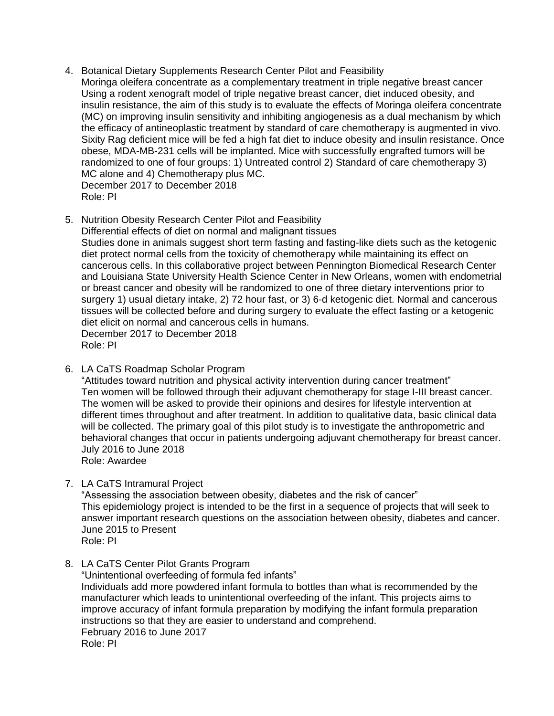- 4. Botanical Dietary Supplements Research Center Pilot and Feasibility Moringa oleifera concentrate as a complementary treatment in triple negative breast cancer Using a rodent xenograft model of triple negative breast cancer, diet induced obesity, and insulin resistance, the aim of this study is to evaluate the effects of Moringa oleifera concentrate (MC) on improving insulin sensitivity and inhibiting angiogenesis as a dual mechanism by which the efficacy of antineoplastic treatment by standard of care chemotherapy is augmented in vivo. Sixity Rag deficient mice will be fed a high fat diet to induce obesity and insulin resistance. Once obese, MDA-MB-231 cells will be implanted. Mice with successfully engrafted tumors will be randomized to one of four groups: 1) Untreated control 2) Standard of care chemotherapy 3) MC alone and 4) Chemotherapy plus MC. December 2017 to December 2018 Role: PI
- 5. Nutrition Obesity Research Center Pilot and Feasibility Differential effects of diet on normal and malignant tissues Studies done in animals suggest short term fasting and fasting-like diets such as the ketogenic diet protect normal cells from the toxicity of chemotherapy while maintaining its effect on cancerous cells. In this collaborative project between Pennington Biomedical Research Center and Louisiana State University Health Science Center in New Orleans, women with endometrial or breast cancer and obesity will be randomized to one of three dietary interventions prior to surgery 1) usual dietary intake, 2) 72 hour fast, or 3) 6-d ketogenic diet. Normal and cancerous tissues will be collected before and during surgery to evaluate the effect fasting or a ketogenic diet elicit on normal and cancerous cells in humans. December 2017 to December 2018 Role: PI
- 6. LA CaTS Roadmap Scholar Program

"Attitudes toward nutrition and physical activity intervention during cancer treatment" Ten women will be followed through their adjuvant chemotherapy for stage I-III breast cancer. The women will be asked to provide their opinions and desires for lifestyle intervention at different times throughout and after treatment. In addition to qualitative data, basic clinical data will be collected. The primary goal of this pilot study is to investigate the anthropometric and behavioral changes that occur in patients undergoing adjuvant chemotherapy for breast cancer. July 2016 to June 2018 Role: Awardee

7. LA CaTS Intramural Project

"Assessing the association between obesity, diabetes and the risk of cancer" This epidemiology project is intended to be the first in a sequence of projects that will seek to answer important research questions on the association between obesity, diabetes and cancer. June 2015 to Present

Role: PI

8. LA CaTS Center Pilot Grants Program

"Unintentional overfeeding of formula fed infants" Individuals add more powdered infant formula to bottles than what is recommended by the manufacturer which leads to unintentional overfeeding of the infant. This projects aims to improve accuracy of infant formula preparation by modifying the infant formula preparation instructions so that they are easier to understand and comprehend. February 2016 to June 2017 Role: PI